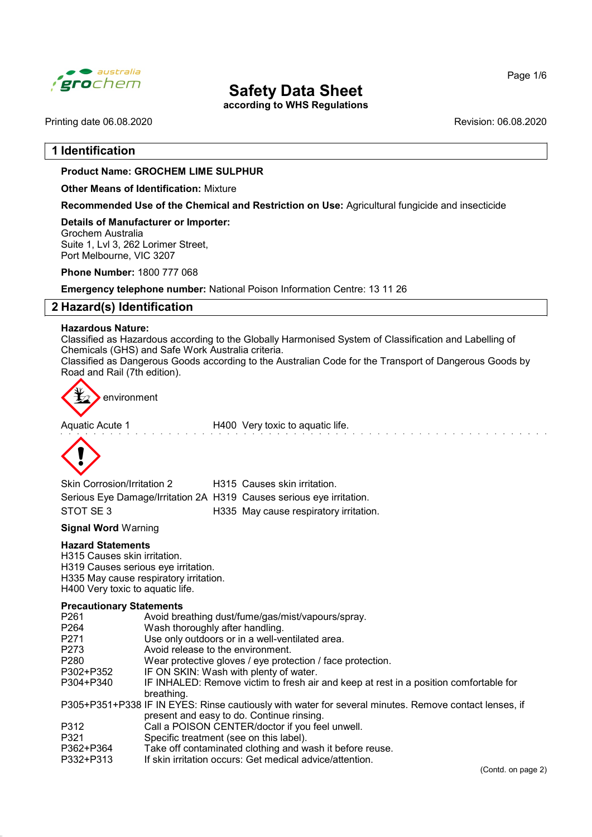

according to WHS Regulations

Printing date 06.08.2020 **Revision: 06.08.2020** Revision: 06.08.2020

# 1 Identification

#### Product Name: GROCHEM LIME SULPHUR

Other Means of Identification: Mixture

Recommended Use of the Chemical and Restriction on Use: Agricultural fungicide and insecticide

Details of Manufacturer or Importer: Grochem Australia Suite 1, Lvl 3, 262 Lorimer Street, Port Melbourne, VIC 3207

Phone Number: 1800 777 068

Emergency telephone number: National Poison Information Centre: 13 11 26

# 2 Hazard(s) Identification

#### Hazardous Nature:

Classified as Hazardous according to the Globally Harmonised System of Classification and Labelling of Chemicals (GHS) and Safe Work Australia criteria.

Classified as Dangerous Goods according to the Australian Code for the Transport of Dangerous Goods by Road and Rail (7th edition).



Aquatic Acute 1 **H400** Very toxic to aquatic life.



| <b>Skin Corrosion/Irritation 2</b>                                   | H315 Causes skin irritation.           |
|----------------------------------------------------------------------|----------------------------------------|
| Serious Eye Damage/Irritation 2A H319 Causes serious eye irritation. |                                        |
| STOT SE3                                                             | H335 May cause respiratory irritation. |

Signal Word Warning

#### Hazard Statements

H315 Causes skin irritation. H319 Causes serious eye irritation. H335 May cause respiratory irritation. H400 Very toxic to aquatic life.

#### Precautionary Statements

| P <sub>261</sub> | Avoid breathing dust/fume/gas/mist/vapours/spray.                                                     |
|------------------|-------------------------------------------------------------------------------------------------------|
| P <sub>264</sub> | Wash thoroughly after handling.                                                                       |
| P <sub>271</sub> | Use only outdoors or in a well-ventilated area.                                                       |
| P <sub>273</sub> | Avoid release to the environment.                                                                     |
| P <sub>280</sub> | Wear protective gloves / eye protection / face protection.                                            |
| P302+P352        | IF ON SKIN: Wash with plenty of water.                                                                |
| P304+P340        | IF INHALED: Remove victim to fresh air and keep at rest in a position comfortable for                 |
|                  | breathing.                                                                                            |
|                  | P305+P351+P338 IF IN EYES: Rinse cautiously with water for several minutes. Remove contact lenses, if |
|                  | present and easy to do. Continue rinsing.                                                             |
| P312             | Call a POISON CENTER/doctor if you feel unwell.                                                       |
| P321             | Specific treatment (see on this label).                                                               |
| P362+P364        | Take off contaminated clothing and wash it before reuse.                                              |
| P332+P313        | If skin irritation occurs: Get medical advice/attention.                                              |
|                  |                                                                                                       |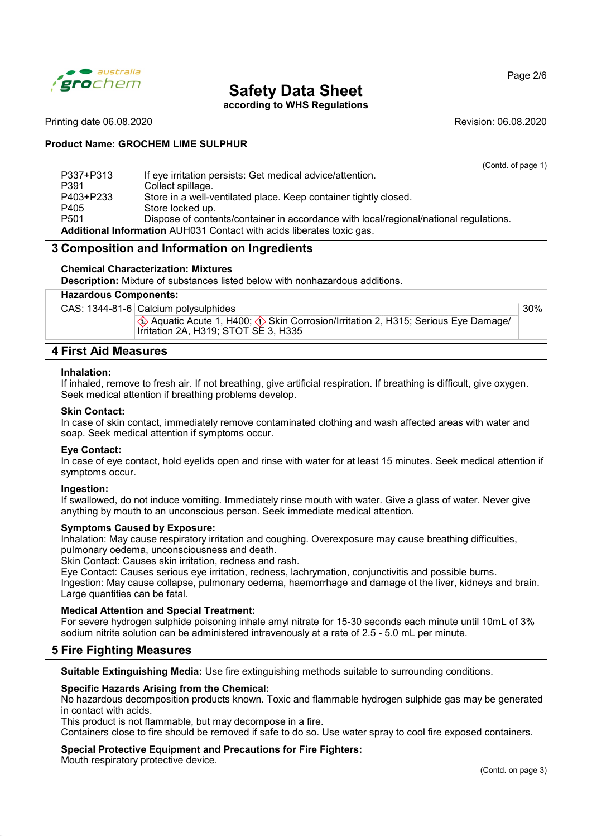

according to WHS Regulations

Page 2/6

#### Printing date 06.08.2020 **Revision: 06.08.2020** Revision: 06.08.2020

### Product Name: GROCHEM LIME SULPHUR

|                  |                                                                                       | (Contd. of page 1) |
|------------------|---------------------------------------------------------------------------------------|--------------------|
| P337+P313        | If eye irritation persists: Get medical advice/attention.                             |                    |
| P391             | Collect spillage.                                                                     |                    |
| P403+P233        | Store in a well-ventilated place. Keep container tightly closed.                      |                    |
| P405             | Store locked up.                                                                      |                    |
| P <sub>501</sub> | Dispose of contents/container in accordance with local/regional/national regulations. |                    |
|                  | <b>Additional Information</b> AUH031 Contact with acids liberates toxic gas.          |                    |

# 3 Composition and Information on Ingredients

### Chemical Characterization: Mixtures

Description: Mixture of substances listed below with nonhazardous additions.

#### Hazardous Components:

| CAS: 1344-81-6 Calcium polysulphides                                                                                      |  |
|---------------------------------------------------------------------------------------------------------------------------|--|
| ♦ Aquatic Acute 1, H400; ♦ Skin Corrosion/Irritation 2, H315; Serious Eye Damage/<br>Irritation 2A, H319; STOT SE 3, H335 |  |

### 4 First Aid Measures

#### Inhalation:

If inhaled, remove to fresh air. If not breathing, give artificial respiration. If breathing is difficult, give oxygen. Seek medical attention if breathing problems develop.

#### Skin Contact:

In case of skin contact, immediately remove contaminated clothing and wash affected areas with water and soap. Seek medical attention if symptoms occur.

#### Eye Contact:

In case of eye contact, hold eyelids open and rinse with water for at least 15 minutes. Seek medical attention if symptoms occur.

#### Ingestion:

If swallowed, do not induce vomiting. Immediately rinse mouth with water. Give a glass of water. Never give anything by mouth to an unconscious person. Seek immediate medical attention.

#### Symptoms Caused by Exposure:

Inhalation: May cause respiratory irritation and coughing. Overexposure may cause breathing difficulties, pulmonary oedema, unconsciousness and death.

Skin Contact: Causes skin irritation, redness and rash.

Eye Contact: Causes serious eye irritation, redness, lachrymation, conjunctivitis and possible burns. Ingestion: May cause collapse, pulmonary oedema, haemorrhage and damage ot the liver, kidneys and brain. Large quantities can be fatal.

#### Medical Attention and Special Treatment:

For severe hydrogen sulphide poisoning inhale amyl nitrate for 15-30 seconds each minute until 10mL of 3% sodium nitrite solution can be administered intravenously at a rate of 2.5 - 5.0 mL per minute.

## 5 Fire Fighting Measures

Suitable Extinguishing Media: Use fire extinguishing methods suitable to surrounding conditions.

#### Specific Hazards Arising from the Chemical:

No hazardous decomposition products known. Toxic and flammable hydrogen sulphide gas may be generated in contact with acids.

This product is not flammable, but may decompose in a fire.

Containers close to fire should be removed if safe to do so. Use water spray to cool fire exposed containers.

#### Special Protective Equipment and Precautions for Fire Fighters:

Mouth respiratory protective device.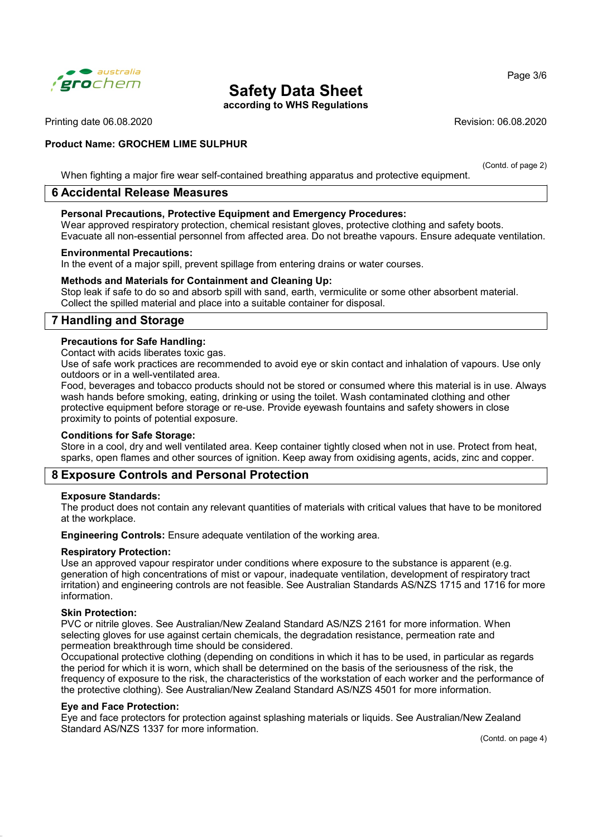

according to WHS Regulations

Printing date 06.08.2020 Revision: 06.08.2020

#### Product Name: GROCHEM LIME SULPHUR

(Contd. of page 2)

When fighting a major fire wear self-contained breathing apparatus and protective equipment.

## 6 Accidental Release Measures

#### Personal Precautions, Protective Equipment and Emergency Procedures:

Wear approved respiratory protection, chemical resistant gloves, protective clothing and safety boots. Evacuate all non-essential personnel from affected area. Do not breathe vapours. Ensure adequate ventilation.

#### Environmental Precautions:

In the event of a major spill, prevent spillage from entering drains or water courses.

#### Methods and Materials for Containment and Cleaning Up:

Stop leak if safe to do so and absorb spill with sand, earth, vermiculite or some other absorbent material. Collect the spilled material and place into a suitable container for disposal.

# 7 Handling and Storage

#### Precautions for Safe Handling:

Contact with acids liberates toxic gas.

Use of safe work practices are recommended to avoid eye or skin contact and inhalation of vapours. Use only outdoors or in a well-ventilated area.

Food, beverages and tobacco products should not be stored or consumed where this material is in use. Always wash hands before smoking, eating, drinking or using the toilet. Wash contaminated clothing and other protective equipment before storage or re-use. Provide eyewash fountains and safety showers in close proximity to points of potential exposure.

#### Conditions for Safe Storage:

Store in a cool, dry and well ventilated area. Keep container tightly closed when not in use. Protect from heat, sparks, open flames and other sources of ignition. Keep away from oxidising agents, acids, zinc and copper.

## 8 Exposure Controls and Personal Protection

#### Exposure Standards:

The product does not contain any relevant quantities of materials with critical values that have to be monitored at the workplace.

Engineering Controls: Ensure adequate ventilation of the working area.

#### Respiratory Protection:

Use an approved vapour respirator under conditions where exposure to the substance is apparent (e.g. generation of high concentrations of mist or vapour, inadequate ventilation, development of respiratory tract irritation) and engineering controls are not feasible. See Australian Standards AS/NZS 1715 and 1716 for more information.

#### Skin Protection:

PVC or nitrile gloves. See Australian/New Zealand Standard AS/NZS 2161 for more information. When selecting gloves for use against certain chemicals, the degradation resistance, permeation rate and permeation breakthrough time should be considered.

Occupational protective clothing (depending on conditions in which it has to be used, in particular as regards the period for which it is worn, which shall be determined on the basis of the seriousness of the risk, the frequency of exposure to the risk, the characteristics of the workstation of each worker and the performance of the protective clothing). See Australian/New Zealand Standard AS/NZS 4501 for more information.

#### Eye and Face Protection:

Eye and face protectors for protection against splashing materials or liquids. See Australian/New Zealand Standard AS/NZS 1337 for more information.

(Contd. on page 4)

Page 3/6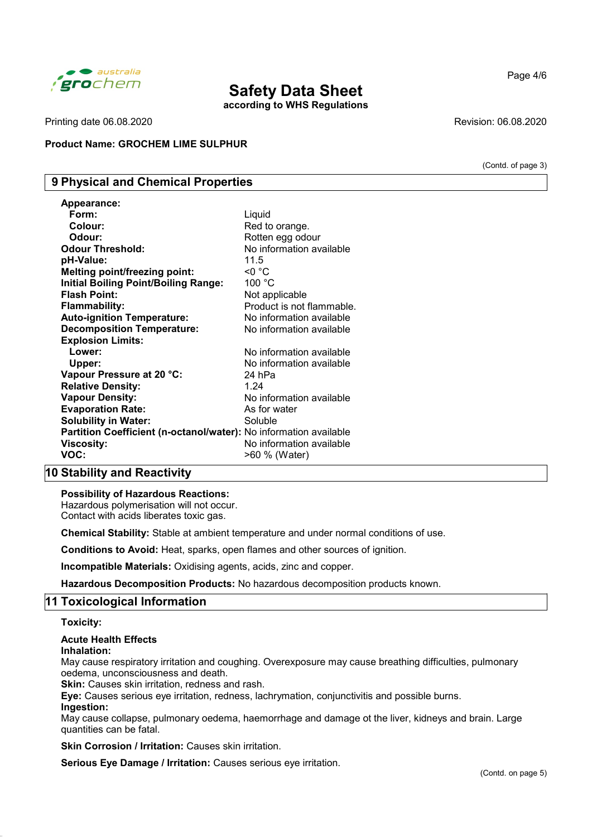

according to WHS Regulations

Printing date 06.08.2020 **Revision: 06.08.2020** Revision: 06.08.2020

Product Name: GROCHEM LIME SULPHUR

# 9 Physical and Chemical Properties

| <b>Appearance:</b>                                                |                           |
|-------------------------------------------------------------------|---------------------------|
| Form:                                                             | Liquid                    |
| Colour:                                                           | Red to orange.            |
| Odour:                                                            | Rotten egg odour          |
| <b>Odour Threshold:</b>                                           | No information available  |
| pH-Value:                                                         | 11.5                      |
| <b>Melting point/freezing point:</b>                              | <0 °C                     |
| <b>Initial Boiling Point/Boiling Range:</b>                       | 100 °C                    |
| <b>Flash Point:</b>                                               | Not applicable            |
| <b>Flammability:</b>                                              | Product is not flammable. |
| <b>Auto-ignition Temperature:</b>                                 | No information available  |
| <b>Decomposition Temperature:</b>                                 | No information available  |
| <b>Explosion Limits:</b>                                          |                           |
| Lower:                                                            | No information available  |
| Upper:                                                            | No information available  |
| Vapour Pressure at 20 °C:                                         | 24 hPa                    |
| <b>Relative Density:</b>                                          | 1.24                      |
| <b>Vapour Density:</b>                                            | No information available  |
| <b>Evaporation Rate:</b>                                          | As for water              |
| <b>Solubility in Water:</b>                                       | Soluble                   |
| Partition Coefficient (n-octanol/water): No information available |                           |
| <b>Viscosity:</b>                                                 | No information available  |
| VOC:                                                              | >60 % (Water)             |

# 10 Stability and Reactivity

#### Possibility of Hazardous Reactions:

Hazardous polymerisation will not occur. Contact with acids liberates toxic gas.

Chemical Stability: Stable at ambient temperature and under normal conditions of use.

Conditions to Avoid: Heat, sparks, open flames and other sources of ignition.

Incompatible Materials: Oxidising agents, acids, zinc and copper.

Hazardous Decomposition Products: No hazardous decomposition products known.

## 11 Toxicological Information

Toxicity:

# Acute Health Effects

### Inhalation:

May cause respiratory irritation and coughing. Overexposure may cause breathing difficulties, pulmonary oedema, unconsciousness and death.

**Skin:** Causes skin irritation, redness and rash.

Eye: Causes serious eye irritation, redness, lachrymation, conjunctivitis and possible burns.

#### Ingestion:

May cause collapse, pulmonary oedema, haemorrhage and damage ot the liver, kidneys and brain. Large quantities can be fatal.

Skin Corrosion / Irritation: Causes skin irritation.

Serious Eye Damage / Irritation: Causes serious eye irritation.

(Contd. of page 3)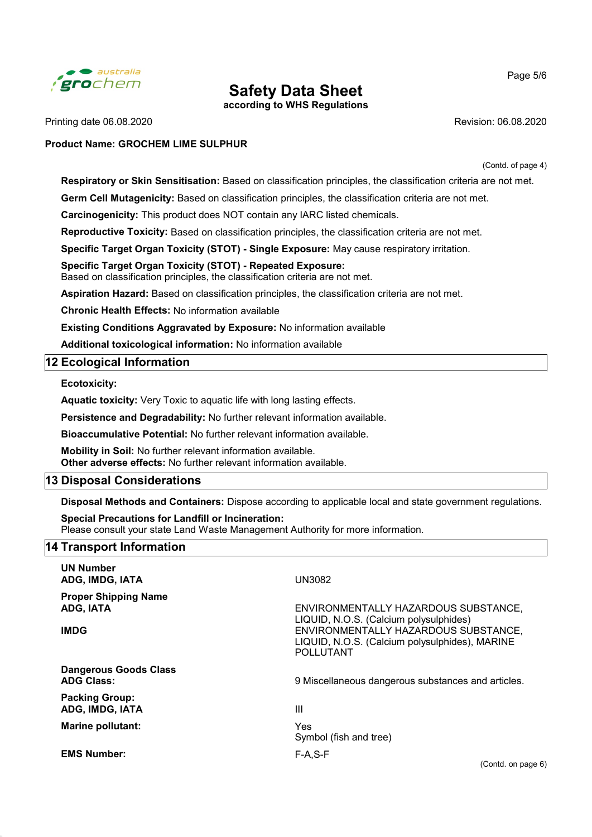

according to WHS Regulations

Printing date 06.08.2020 **Revision: 06.08.2020** Revision: 06.08.2020

#### Product Name: GROCHEM LIME SULPHUR

Page 5/6

(Contd. of page 4)

Respiratory or Skin Sensitisation: Based on classification principles, the classification criteria are not met.

Germ Cell Mutagenicity: Based on classification principles, the classification criteria are not met.

Carcinogenicity: This product does NOT contain any IARC listed chemicals.

Reproductive Toxicity: Based on classification principles, the classification criteria are not met.

Specific Target Organ Toxicity (STOT) - Single Exposure: May cause respiratory irritation.

# Specific Target Organ Toxicity (STOT) - Repeated Exposure:

Based on classification principles, the classification criteria are not met.

Aspiration Hazard: Based on classification principles, the classification criteria are not met.

Chronic Health Effects: No information available

Existing Conditions Aggravated by Exposure: No information available

Additional toxicological information: No information available

# 12 Ecological Information

Ecotoxicity:

Aquatic toxicity: Very Toxic to aquatic life with long lasting effects.

Persistence and Degradability: No further relevant information available.

Bioaccumulative Potential: No further relevant information available.

Mobility in Soil: No further relevant information available. Other adverse effects: No further relevant information available.

## 13 Disposal Considerations

Disposal Methods and Containers: Dispose according to applicable local and state government regulations.

Special Precautions for Landfill or Incineration: Please consult your state Land Waste Management Authority for more information.

## 14 Transport Information

| <b>UN Number</b><br>ADG, IMDG, IATA                     | <b>UN3082</b>                                                                                                                                                                                |
|---------------------------------------------------------|----------------------------------------------------------------------------------------------------------------------------------------------------------------------------------------------|
| <b>Proper Shipping Name</b><br>ADG, IATA<br><b>IMDG</b> | ENVIRONMENTALLY HAZARDOUS SUBSTANCE,<br>LIQUID, N.O.S. (Calcium polysulphides)<br>ENVIRONMENTALLY HAZARDOUS SUBSTANCE,<br>LIQUID, N.O.S. (Calcium polysulphides), MARINE<br><b>POLLUTANT</b> |
| <b>Dangerous Goods Class</b><br><b>ADG Class:</b>       | 9 Miscellaneous dangerous substances and articles.                                                                                                                                           |
| <b>Packing Group:</b><br>ADG, IMDG, IATA                | $\mathbf{III}$                                                                                                                                                                               |
| <b>Marine pollutant:</b>                                | Yes<br>Symbol (fish and tree)                                                                                                                                                                |
| <b>EMS Number:</b>                                      | $F-A.S-F$                                                                                                                                                                                    |